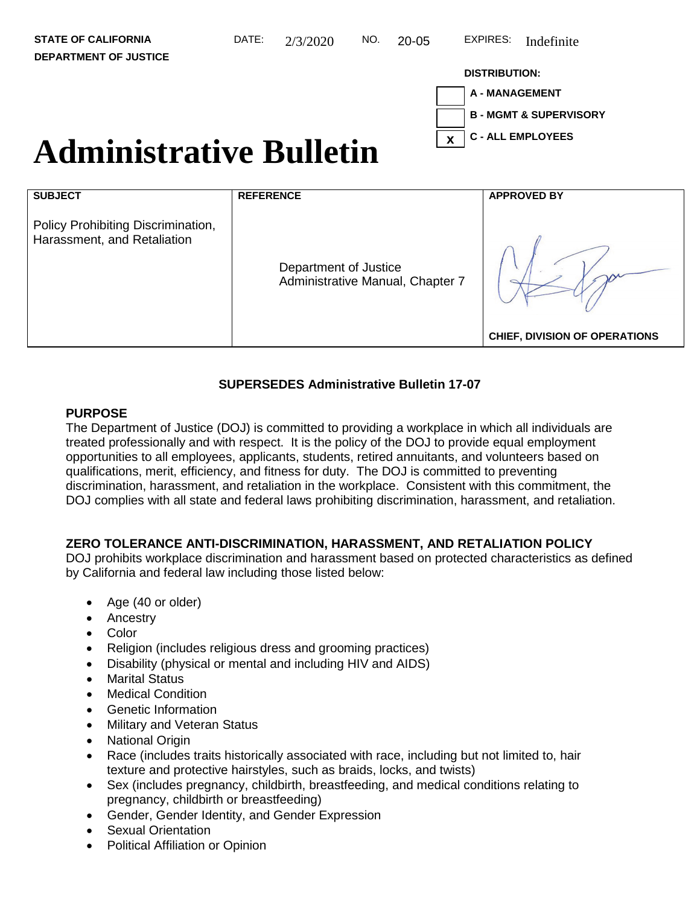# **DISTRIBUTION:**



# Administrative Bulletin  $\frac{1}{x}$

| <b>SUBJECT</b>                                                    | <b>REFERENCE</b>                                          | <b>APPROVED BY</b>                   |
|-------------------------------------------------------------------|-----------------------------------------------------------|--------------------------------------|
| Policy Prohibiting Discrimination,<br>Harassment, and Retaliation | Department of Justice<br>Administrative Manual, Chapter 7 |                                      |
|                                                                   |                                                           | <b>CHIEF, DIVISION OF OPERATIONS</b> |

# **SUPERSEDES Administrative Bulletin 17-07**

# **PURPOSE**

The Department of Justice (DOJ) is committed to providing a workplace in which all individuals are treated professionally and with respect. It is the policy of the DOJ to provide equal employment opportunities to all employees, applicants, students, retired annuitants, and volunteers based on qualifications, merit, efficiency, and fitness for duty. The DOJ is committed to preventing discrimination, harassment, and retaliation in the workplace. Consistent with this commitment, the DOJ complies with all state and federal laws prohibiting discrimination, harassment, and retaliation.

# **ZERO TOLERANCE ANTI-DISCRIMINATION, HARASSMENT, AND RETALIATION POLICY**

DOJ prohibits workplace discrimination and harassment based on protected characteristics as defined by California and federal law including those listed below:

- Age (40 or older)
- Ancestry
- Color
- Religion (includes religious dress and grooming practices)
- Disability (physical or mental and including HIV and AIDS)
- Marital Status
- Medical Condition
- Genetic Information
- Military and Veteran Status
- National Origin
- Race (includes traits historically associated with race, including but not limited to, hair texture and protective hairstyles, such as braids, locks, and twists)
- Sex (includes pregnancy, childbirth, breastfeeding, and medical conditions relating to pregnancy, childbirth or breastfeeding)
- Gender, Gender Identity, and Gender Expression
- **Sexual Orientation**
- Political Affiliation or Opinion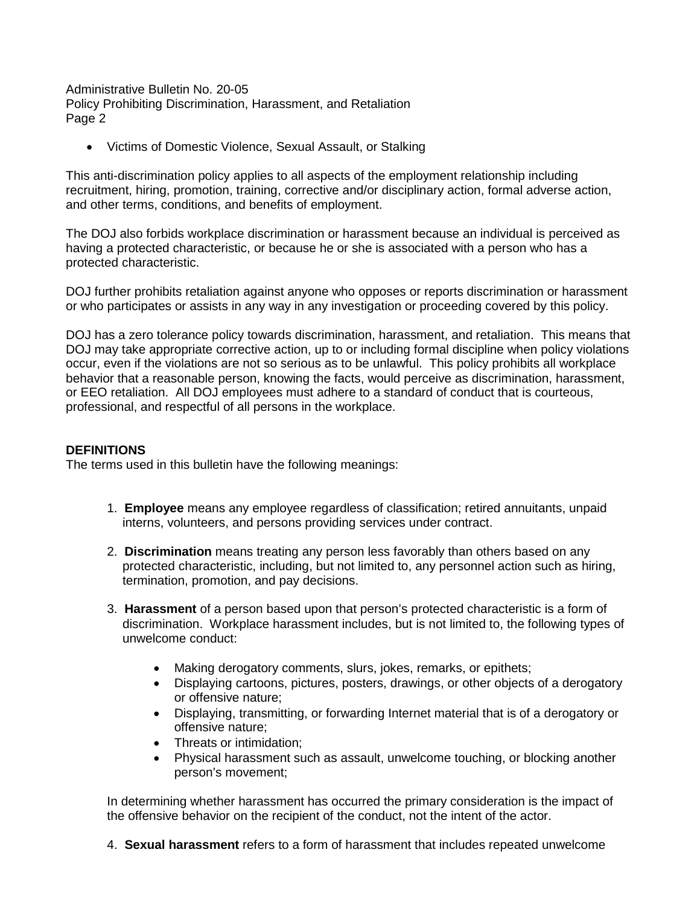• Victims of Domestic Violence, Sexual Assault, or Stalking

and other terms, conditions, and benefits of employment. This anti-discrimination policy applies to all aspects of the employment relationship including recruitment, hiring, promotion, training, corrective and/or disciplinary action, formal adverse action,

The DOJ also forbids workplace discrimination or harassment because an individual is perceived as having a protected characteristic, or because he or she is associated with a person who has a protected characteristic.

 DOJ further prohibits retaliation against anyone who opposes or reports discrimination or harassment or who participates or assists in any way in any investigation or proceeding covered by this policy.

or who participates or assists in any way in any investigation or proceeding covered by this policy.<br>DOJ has a zero tolerance policy towards discrimination, harassment, and retaliation. This means that occur, even if the violations are not so serious as to be unlawful. This policy prohibits all workplace behavior that a reasonable person, knowing the facts, would perceive as discrimination, harassment, or EEO retaliation. All DOJ employees must adhere to a standard of conduct that is courteous, professional, and respectful of all persons in the workplace. DOJ may take appropriate corrective action, up to or including formal discipline when policy violations

#### **DEFINITIONS**

The terms used in this bulletin have the following meanings:

- 1. **Employee** means any employee regardless of classification; retired annuitants, unpaid interns, volunteers, and persons providing services under contract.
- interns, volunteers, and persons providing services under contract. 2. **Discrimination** means treating any person less favorably than others based on any protected characteristic, including, but not limited to, any personnel action such as hiring, termination, promotion, and pay decisions.
- 3. **Harassment** of a person based upon that person's protected characteristic is a form of discrimination. Workplace harassment includes, but is not limited to, the following types of unwelcome conduct:
	- Making derogatory comments, slurs, jokes, remarks, or epithets;
	- Displaying cartoons, pictures, posters, drawings, or other objects of a derogatory or offensive nature;
	- • Displaying, transmitting, or forwarding Internet material that is of a derogatory or offensive nature;
	- Threats or intimidation;
	- Physical harassment such as assault, unwelcome touching, or blocking another person's movement;

 the offensive behavior on the recipient of the conduct, not the intent of the actor. In determining whether harassment has occurred the primary consideration is the impact of

 4. **Sexual harassment** refers to a form of harassment that includes repeated unwelcome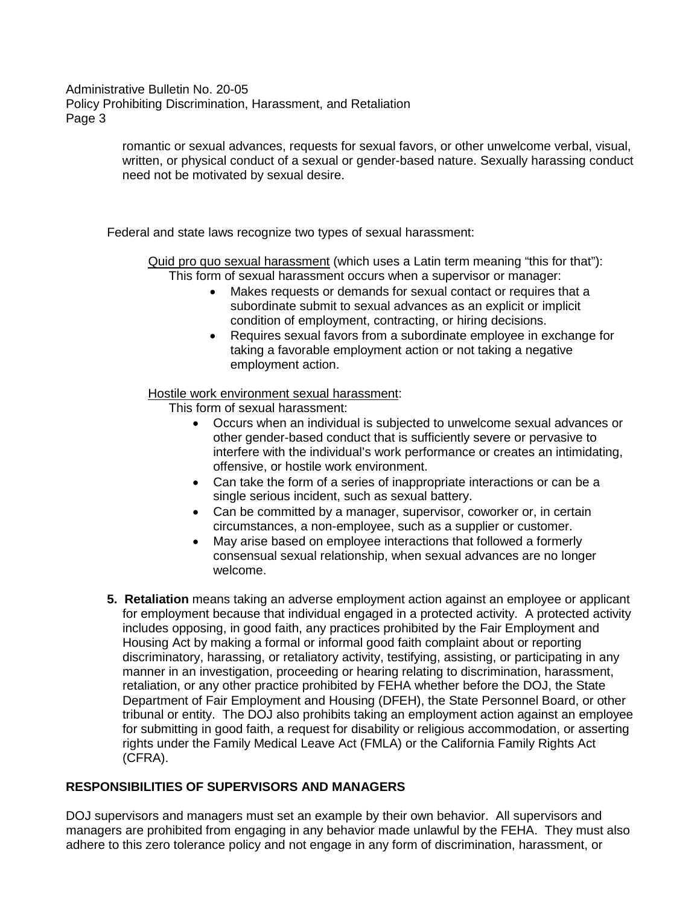> romantic or sexual advances, requests for sexual favors, or other unwelcome verbal, visual, need not be motivated by sexual desire. written, or physical conduct of a sexual or gender-based nature. Sexually harassing conduct

Federal and state laws recognize two types of sexual harassment:

Quid pro quo sexual harassment (which uses a Latin term meaning "this for that"): This form of sexual harassment occurs when a supervisor or manager:

- Makes requests or demands for sexual contact or requires that a subordinate submit to sexual advances as an explicit or implicit condition of employment, contracting, or hiring decisions.
- • Requires sexual favors from a subordinate employee in exchange for taking a favorable employment action or not taking a negative employment action.

Hostile work environment sexual harassment:

This form of sexual harassment:

- other gender-based conduct that is sufficiently severe or pervasive to • Occurs when an individual is subjected to unwelcome sexual advances or interfere with the individual's work performance or creates an intimidating, offensive, or hostile work environment.
- single serious incident, such as sexual battery. • Can take the form of a series of inappropriate interactions or can be a
- Can be committed by a manager, supervisor, coworker or, in certain circumstances, a non-employee, such as a supplier or customer.
- May arise based on employee interactions that followed a formerly consensual sexual relationship, when sexual advances are no longer welcome.
- **5. Retaliation** means taking an adverse employment action against an employee or applicant Housing Act by making a formal or informal good faith complaint about or reporting tribunal or entity. The DOJ also prohibits taking an employment action against an employee for submitting in good faith, a request for disability or religious accommodation, or asserting for employment because that individual engaged in a protected activity. A protected activity includes opposing, in good faith, any practices prohibited by the Fair Employment and discriminatory, harassing, or retaliatory activity, testifying, assisting, or participating in any manner in an investigation, proceeding or hearing relating to discrimination, harassment, retaliation, or any other practice prohibited by FEHA whether before the DOJ, the State Department of Fair Employment and Housing (DFEH), the State Personnel Board, or other rights under the Family Medical Leave Act (FMLA) or the California Family Rights Act (CFRA).

# **RESPONSIBILITIES OF SUPERVISORS AND MANAGERS**

 managers are prohibited from engaging in any behavior made unlawful by the FEHA. They must also DOJ supervisors and managers must set an example by their own behavior. All supervisors and adhere to this zero tolerance policy and not engage in any form of discrimination, harassment, or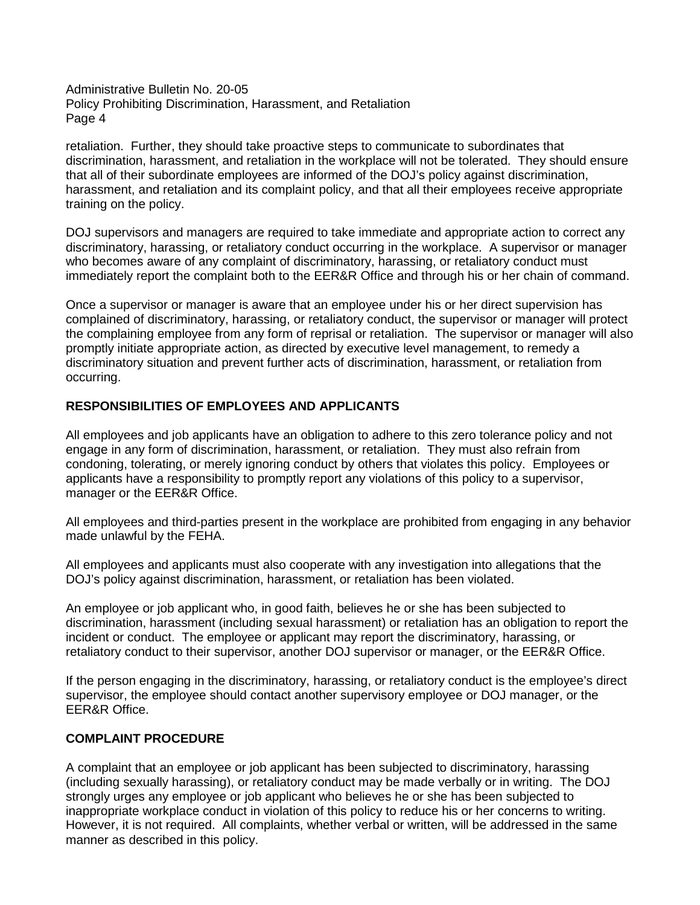retaliation. Further, they should take proactive steps to communicate to subordinates that discrimination, harassment, and retaliation in the workplace will not be tolerated. They should ensure training on the policy. that all of their subordinate employees are informed of the DOJ's policy against discrimination, harassment, and retaliation and its complaint policy, and that all their employees receive appropriate

 who becomes aware of any complaint of discriminatory, harassing, or retaliatory conduct must immediately report the complaint both to the EER&R Office and through his or her chain of command. DOJ supervisors and managers are required to take immediate and appropriate action to correct any discriminatory, harassing, or retaliatory conduct occurring in the workplace. A supervisor or manager

 the complaining employee from any form of reprisal or retaliation. The supervisor or manager will also occurring. Once a supervisor or manager is aware that an employee under his or her direct supervision has complained of discriminatory, harassing, or retaliatory conduct, the supervisor or manager will protect promptly initiate appropriate action, as directed by executive level management, to remedy a discriminatory situation and prevent further acts of discrimination, harassment, or retaliation from

# **RESPONSIBILITIES OF EMPLOYEES AND APPLICANTS**

 engage in any form of discrimination, harassment, or retaliation. They must also refrain from condoning, tolerating, or merely ignoring conduct by others that violates this policy. Employees or manager or the EER&R Office. All employees and job applicants have an obligation to adhere to this zero tolerance policy and not applicants have a responsibility to promptly report any violations of this policy to a supervisor,

 made unlawful by the FEHA. All employees and third-parties present in the workplace are prohibited from engaging in any behavior

 All employees and applicants must also cooperate with any investigation into allegations that the DOJ's policy against discrimination, harassment, or retaliation has been violated.

 incident or conduct. The employee or applicant may report the discriminatory, harassing, or retaliatory conduct to their supervisor, another DOJ supervisor or manager, or the EER&R Office. An employee or job applicant who, in good faith, believes he or she has been subjected to discrimination, harassment (including sexual harassment) or retaliation has an obligation to report the

 supervisor, the employee should contact another supervisory employee or DOJ manager, or the EER&R Office. If the person engaging in the discriminatory, harassing, or retaliatory conduct is the employee's direct

# **COMPLAINT PROCEDURE**

 (including sexually harassing), or retaliatory conduct may be made verbally or in writing. The DOJ inappropriate workplace conduct in violation of this policy to reduce his or her concerns to writing. However, it is not required. All complaints, whether verbal or written, will be addressed in the same manner as described in this policy. A complaint that an employee or job applicant has been subjected to discriminatory, harassing strongly urges any employee or job applicant who believes he or she has been subjected to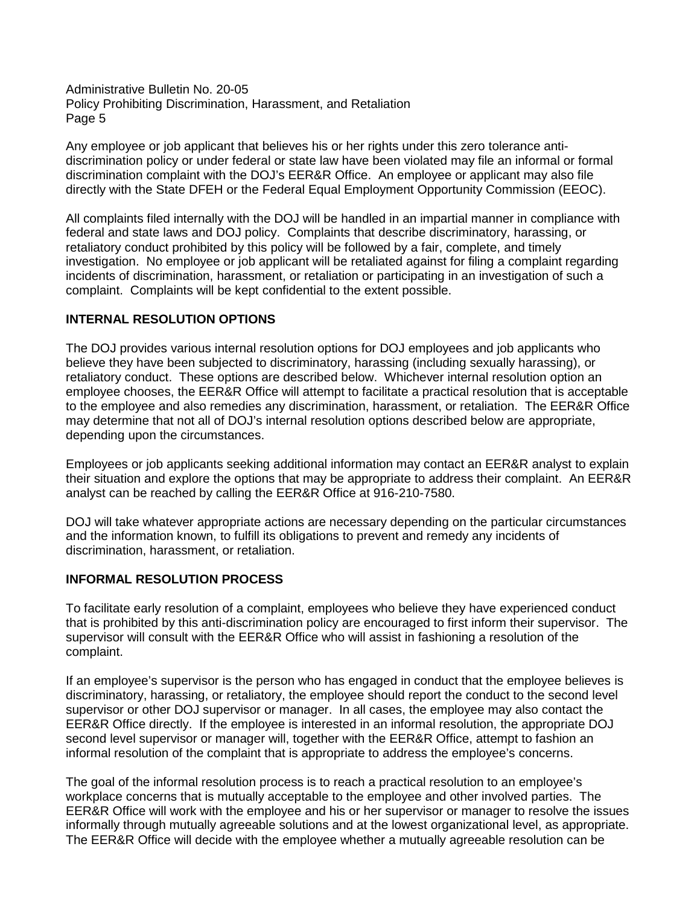Any employee or job applicant that believes his or her rights under this zero tolerance antidiscrimination policy or under federal or state law have been violated may file an informal or formal discrimination complaint with the DOJ's EER&R Office. An employee or applicant may also file directly with the State DFEH or the Federal Equal Employment Opportunity Commission (EEOC).

 investigation. No employee or job applicant will be retaliated against for filing a complaint regarding incidents of discrimination, harassment, or retaliation or participating in an investigation of such a complaint. Complaints will be kept confidential to the extent possible. All complaints filed internally with the DOJ will be handled in an impartial manner in compliance with federal and state laws and DOJ policy. Complaints that describe discriminatory, harassing, or retaliatory conduct prohibited by this policy will be followed by a fair, complete, and timely

# **INTERNAL RESOLUTION OPTIONS**

 believe they have been subjected to discriminatory, harassing (including sexually harassing), or retaliatory conduct. These options are described below. Whichever internal resolution option an to the employee and also remedies any discrimination, harassment, or retaliation. The EER&R Office depending upon the circumstances. The DOJ provides various internal resolution options for DOJ employees and job applicants who employee chooses, the EER&R Office will attempt to facilitate a practical resolution that is acceptable may determine that not all of DOJ's internal resolution options described below are appropriate,

 analyst can be reached by calling the EER&R Office at 916-210-7580. Employees or job applicants seeking additional information may contact an EER&R analyst to explain their situation and explore the options that may be appropriate to address their complaint. An EER&R

DOJ will take whatever appropriate actions are necessary depending on the particular circumstances and the information known, to fulfill its obligations to prevent and remedy any incidents of discrimination, harassment, or retaliation.

# **INFORMAL RESOLUTION PROCESS**

 that is prohibited by this anti-discrimination policy are encouraged to first inform their supervisor. The complaint. To facilitate early resolution of a complaint, employees who believe they have experienced conduct supervisor will consult with the EER&R Office who will assist in fashioning a resolution of the

 supervisor or other DOJ supervisor or manager. In all cases, the employee may also contact the EER&R Office directly. If the employee is interested in an informal resolution, the appropriate DOJ second level supervisor or manager will, together with the EER&R Office, attempt to fashion an informal resolution of the complaint that is appropriate to address the employee's concerns. If an employee's supervisor is the person who has engaged in conduct that the employee believes is discriminatory, harassing, or retaliatory, the employee should report the conduct to the second level

 workplace concerns that is mutually acceptable to the employee and other involved parties. The EER&R Office will work with the employee and his or her supervisor or manager to resolve the issues informally through mutually agreeable solutions and at the lowest organizational level, as appropriate. The goal of the informal resolution process is to reach a practical resolution to an employee's The EER&R Office will decide with the employee whether a mutually agreeable resolution can be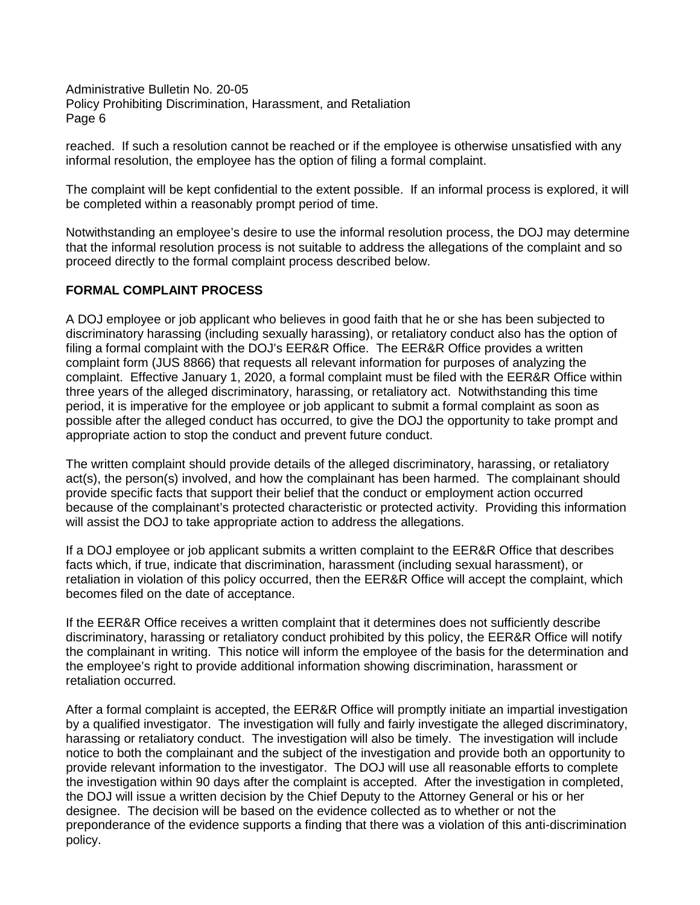reached. If such a resolution cannot be reached or if the employee is otherwise unsatisfied with any informal resolution, the employee has the option of filing a formal complaint.

 The complaint will be kept confidential to the extent possible. If an informal process is explored, it will be completed within a reasonably prompt period of time.

 proceed directly to the formal complaint process described below. Notwithstanding an employee's desire to use the informal resolution process, the DOJ may determine that the informal resolution process is not suitable to address the allegations of the complaint and so

#### **FORMAL COMPLAINT PROCESS**

 filing a formal complaint with the DOJ's EER&R Office. The EER&R Office provides a written complaint form (JUS 8866) that requests all relevant information for purposes of analyzing the complaint. Effective January 1, 2020, a formal complaint must be filed with the EER&R Office within period, it is imperative for the employee or job applicant to submit a formal complaint as soon as appropriate action to stop the conduct and prevent future conduct. A DOJ employee or job applicant who believes in good faith that he or she has been subjected to discriminatory harassing (including sexually harassing), or retaliatory conduct also has the option of three years of the alleged discriminatory, harassing, or retaliatory act. Notwithstanding this time possible after the alleged conduct has occurred, to give the DOJ the opportunity to take prompt and

 act(s), the person(s) involved, and how the complainant has been harmed. The complainant should provide specific facts that support their belief that the conduct or employment action occurred will assist the DOJ to take appropriate action to address the allegations. The written complaint should provide details of the alleged discriminatory, harassing, or retaliatory because of the complainant's protected characteristic or protected activity. Providing this information

will assist the DOJ to take appropriate action to address the allegations.<br>If a DOJ employee or job applicant submits a written complaint to the EER&R Office that describes becomes filed on the date of acceptance. facts which, if true, indicate that discrimination, harassment (including sexual harassment), or retaliation in violation of this policy occurred, then the EER&R Office will accept the complaint, which

 the complainant in writing. This notice will inform the employee of the basis for the determination and If the EER&R Office receives a written complaint that it determines does not sufficiently describe discriminatory, harassing or retaliatory conduct prohibited by this policy, the EER&R Office will notify the employee's right to provide additional information showing discrimination, harassment or retaliation occurred.

 by a qualified investigator. The investigation will fully and fairly investigate the alleged discriminatory, harassing or retaliatory conduct. The investigation will also be timely. The investigation will include provide relevant information to the investigator. The DOJ will use all reasonable efforts to complete the investigation within 90 days after the complaint is accepted. After the investigation in completed, the DOJ will issue a written decision by the Chief Deputy to the Attorney General or his or her designee. The decision will be based on the evidence collected as to whether or not the preponderance of the evidence supports a finding that there was a violation of this anti-discrimination policy. After a formal complaint is accepted, the EER&R Office will promptly initiate an impartial investigation notice to both the complainant and the subject of the investigation and provide both an opportunity to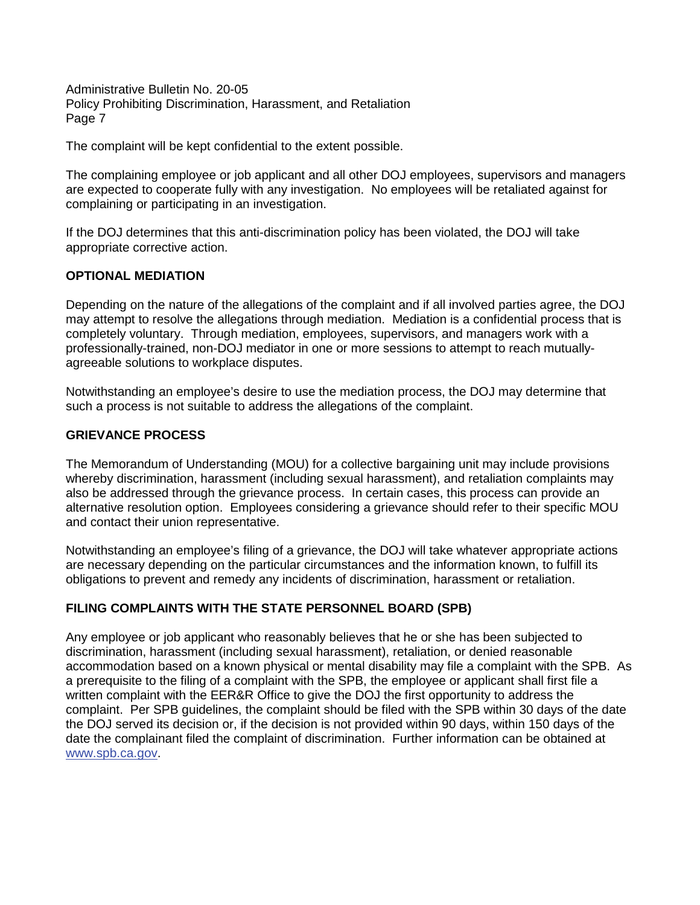The complaint will be kept confidential to the extent possible.

 are expected to cooperate fully with any investigation. No employees will be retaliated against for complaining or participating in an investigation. The complaining employee or job applicant and all other DOJ employees, supervisors and managers

 appropriate corrective action. If the DOJ determines that this anti-discrimination policy has been violated, the DOJ will take

#### **OPTIONAL MEDIATION**

 may attempt to resolve the allegations through mediation. Mediation is a confidential process that is completely voluntary. Through mediation, employees, supervisors, and managers work with a agreeable solutions to workplace disputes. Depending on the nature of the allegations of the complaint and if all involved parties agree, the DOJ professionally-trained, non-DOJ mediator in one or more sessions to attempt to reach mutually-

agreeable solutions to workplace disputes.<br>Notwithstanding an employee's desire to use the mediation process, the DOJ may determine that such a process is not suitable to address the allegations of the complaint.

#### **GRIEVANCE PROCESS**

 The Memorandum of Understanding (MOU) for a collective bargaining unit may include provisions whereby discrimination, harassment (including sexual harassment), and retaliation complaints may also be addressed through the grievance process. In certain cases, this process can provide an alternative resolution option. Employees considering a grievance should refer to their specific MOU and contact their union representative.

 are necessary depending on the particular circumstances and the information known, to fulfill its obligations to prevent and remedy any incidents of discrimination, harassment or retaliation. Notwithstanding an employee's filing of a grievance, the DOJ will take whatever appropriate actions

# **FILING COMPLAINTS WITH THE STATE PERSONNEL BOARD (SPB)**

 Any employee or job applicant who reasonably believes that he or she has been subjected to accommodation based on a known physical or mental disability may file a complaint with the SPB. As a prerequisite to the filing of a complaint with the SPB, the employee or applicant shall first file a complaint. Per SPB guidelines, the complaint should be filed with the SPB within 30 days of the date date the complainant filed the complaint of discrimination. Further information can be obtained at discrimination, harassment (including sexual harassment), retaliation, or denied reasonable written complaint with the EER&R Office to give the DOJ the first opportunity to address the the DOJ served its decision or, if the decision is not provided within 90 days, within 150 days of the www.spb.ca.gov.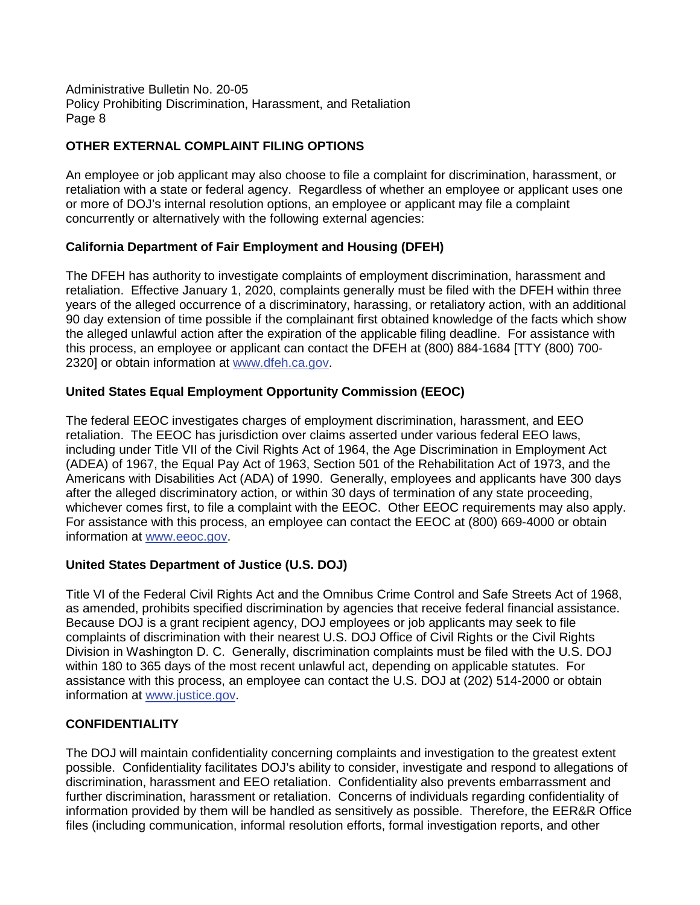# **OTHER EXTERNAL COMPLAINT FILING OPTIONS**

 concurrently or alternatively with the following external agencies: An employee or job applicant may also choose to file a complaint for discrimination, harassment, or retaliation with a state or federal agency. Regardless of whether an employee or applicant uses one or more of DOJ's internal resolution options, an employee or applicant may file a complaint

# **California Department of Fair Employment and Housing (DFEH)**

 retaliation. Effective January 1, 2020, complaints generally must be filed with the DFEH within three 90 day extension of time possible if the complainant first obtained knowledge of the facts which show The DFEH has authority to investigate complaints of employment discrimination, harassment and years of the alleged occurrence of a discriminatory, harassing, or retaliatory action, with an additional the alleged unlawful action after the expiration of the applicable filing deadline. For assistance with this process, an employee or applicant can contact the DFEH at (800) 884-1684 [TTY (800) 700- 2320] or obtain information at www.dfeh.ca.gov.

# **United States Equal Employment Opportunity Commission (EEOC)**

 retaliation. The EEOC has jurisdiction over claims asserted under various federal EEO laws, including under Title VII of the Civil Rights Act of 1964, the Age Discrimination in Employment Act Americans with Disabilities Act (ADA) of 1990. Generally, employees and applicants have 300 days whichever comes first, to file a complaint with the EEOC. Other EEOC requirements may also apply. The federal EEOC investigates charges of employment discrimination, harassment, and EEO (ADEA) of 1967, the Equal Pay Act of 1963, Section 501 of the Rehabilitation Act of 1973, and the after the alleged discriminatory action, or within 30 days of termination of any state proceeding, For assistance with this process, an employee can contact the EEOC at (800) 669-4000 or obtain information at www.eeoc.gov.

# **United States Department of Justice (U.S. DOJ)**

as amended, prohibits specified discrimination by agencies that receive federal financial assistance. as amended, prohibits specified discrimination by agencies that receive federal financial assistance.<br>Because DOJ is a grant recipient agency, DOJ employees or job applicants may seek to file Division in Washington D. C. Generally, discrimination complaints must be filed with the U.S. DOJ within 180 to 365 days of the most recent unlawful act, depending on applicable statutes. For Title VI of the Federal Civil Rights Act and the Omnibus Crime Control and Safe Streets Act of 1968, complaints of discrimination with their nearest U.S. DOJ Office of Civil Rights or the Civil Rights assistance with this process, an employee can contact the U.S. DOJ at (202) 514-2000 or obtain information at www.justice.gov.

# **CONFIDENTIALITY**

 possible. Confidentiality facilitates DOJ's ability to consider, investigate and respond to allegations of discrimination, harassment and EEO retaliation. Confidentiality also prevents embarrassment and further discrimination, harassment or retaliation. Concerns of individuals regarding confidentiality of information provided by them will be handled as sensitively as possible. Therefore, the EER&R Office The DOJ will maintain confidentiality concerning complaints and investigation to the greatest extent files (including communication, informal resolution efforts, formal investigation reports, and other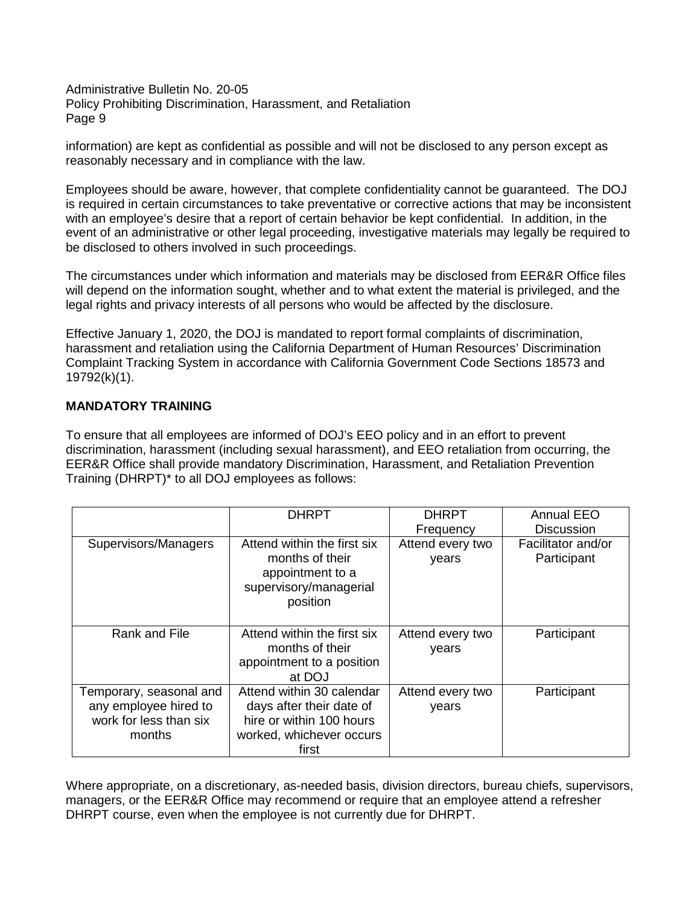information) are kept as confidential as possible and will not be disclosed to any person except as reasonably necessary and in compliance with the law.

reasonably necessary and in compliance with the law.<br>Employees should be aware, however, that complete confidentiality cannot be guaranteed. The DOJ with an employee's desire that a report of certain behavior be kept confidential. In addition, in the be disclosed to others involved in such proceedings. is required in certain circumstances to take preventative or corrective actions that may be inconsistent event of an administrative or other legal proceeding, investigative materials may legally be required to

be disclosed to others involved in such proceedings.<br>The circumstances under which information and materials may be disclosed from EER&R Office files will depend on the information sought, whether and to what extent the material is privileged, and the legal rights and privacy interests of all persons who would be affected by the disclosure.

 Effective January 1, 2020, the DOJ is mandated to report formal complaints of discrimination, harassment and retaliation using the California Department of Human Resources' Discrimination Complaint Tracking System in accordance with California Government Code Sections 18573 and 19792(k)(1).

# **MANDATORY TRAINING**

 To ensure that all employees are informed of DOJ's EEO policy and in an effort to prevent Training (DHRPT)\* to all DOJ employees as follows: discrimination, harassment (including sexual harassment), and EEO retaliation from occurring, the EER&R Office shall provide mandatory Discrimination, Harassment, and Retaliation Prevention

|                                                                                      | <b>DHRPT</b>                                                                                                           | <b>DHRPT</b>              | <b>Annual EEO</b>                 |
|--------------------------------------------------------------------------------------|------------------------------------------------------------------------------------------------------------------------|---------------------------|-----------------------------------|
|                                                                                      |                                                                                                                        | Frequency                 | <b>Discussion</b>                 |
| Supervisors/Managers                                                                 | Attend within the first six<br>months of their<br>appointment to a<br>supervisory/managerial<br>position               | Attend every two<br>years | Facilitator and/or<br>Participant |
| Rank and File                                                                        | Attend within the first six<br>months of their<br>appointment to a position<br>at DOJ                                  | Attend every two<br>years | Participant                       |
| Temporary, seasonal and<br>any employee hired to<br>work for less than six<br>months | Attend within 30 calendar<br>days after their date of<br>hire or within 100 hours<br>worked, whichever occurs<br>first | Attend every two<br>years | Participant                       |

 Where appropriate, on a discretionary, as-needed basis, division directors, bureau chiefs, supervisors, managers, or the EER&R Office may recommend or require that an employee attend a refresher DHRPT course, even when the employee is not currently due for DHRPT.